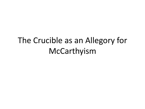## The Crucible as an Allegory for McCarthyism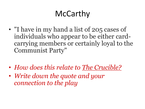### McCarthy

- "I have in my hand a list of 205 cases of individuals who appear to be either cardcarrying members or certainly loyal to the Communist Party"
- *How does this relate to The Crucible?*
- *Write down the quote and your connection to the play*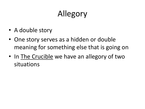# Allegory

- A double story
- One story serves as a hidden or double meaning for something else that is going on
- In The Crucible we have an allegory of two situations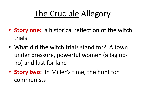## The Crucible Allegory

- **Story one:** a historical reflection of the witch trials
- What did the witch trials stand for? A town under pressure, powerful women (a big nono) and lust for land
- **Story two:** In Miller's time, the hunt for communists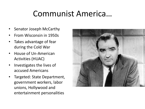#### Communist America…

- Senator Joseph McCarthy
- From Wisconsin in 1950s
- Takes advantage of fear during the Cold War
- House of Un-American Activities (HUAC)
- Investigates the lives of accused Americans
- Targeted: State Department, government workers, labor unions, Hollywood and entertainment personalities

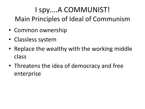#### I spy….A COMMUNIST! Main Principles of Ideal of Communism

- Common ownership
- Classless system
- Replace the wealthy with the working middle class
- Threatens the idea of democracy and free enterprise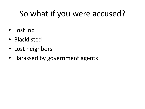### So what if you were accused?

- Lost job
- Blacklisted
- Lost neighbors
- Harassed by government agents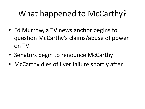# What happened to McCarthy?

- Ed Murrow, a TV news anchor begins to question McCarthy's claims/abuse of power on TV
- Senators begin to renounce McCarthy
- McCarthy dies of liver failure shortly after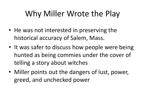# Why Miller Wrote the Play

- He was not interested in preserving the historical accuracy of Salem, Mass.
- It was safer to discuss how people were being hunted as being commies under the cover of telling a story about witches
- Miller points out the dangers of lust, power, greed, and unchecked power